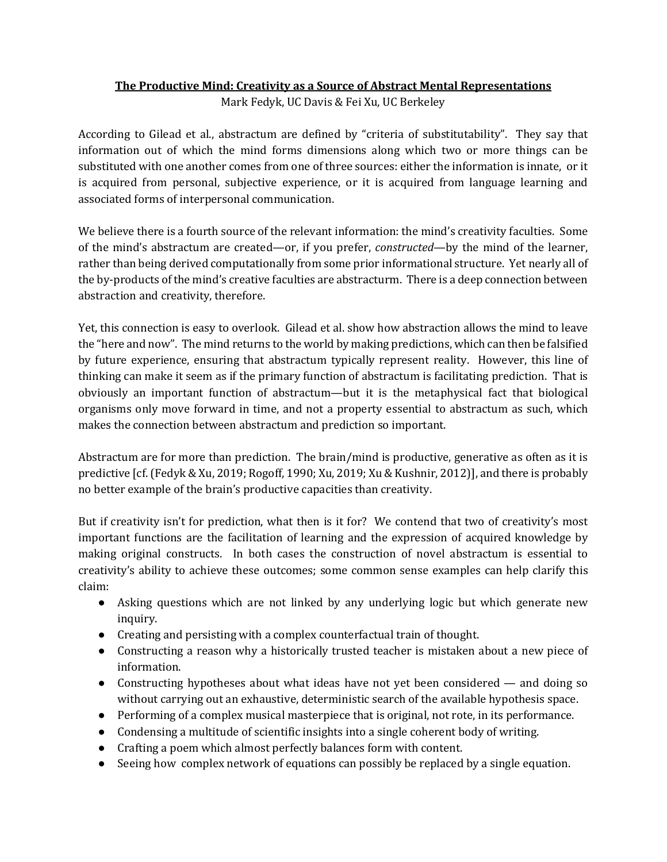## **The Productive Mind: Creativity as a Source of Abstract Mental Representations**

Mark Fedyk, UC Davis & Fei Xu, UC Berkeley

According to Gilead et al., abstractum are defined by "criteria of substitutability". They say that information out of which the mind forms dimensions along which two or more things can be substituted with one another comes from one of three sources: either the information is innate, or it is acquired from personal, subjective experience, or it is acquired from language learning and associated forms of interpersonal communication.

We believe there is a fourth source of the relevant information: the mind's creativity faculties. Some of the mind's abstractum are created—or, if you prefer, *constructed—*by the mind of the learner, rather than being derived computationally from some prior informational structure. Yet nearly all of the by-products of the mind's creative faculties are abstracturm. There is a deep connection between abstraction and creativity, therefore.

Yet, this connection is easy to overlook. Gilead et al. show how abstraction allows the mind to leave the "here and now". The mind returns to the world by making predictions, which can then be falsified by future experience, ensuring that abstractum typically represent reality. However, this line of thinking can make it seem as if the primary function of abstractum is facilitating prediction. That is obviously an important function of abstractum—but it is the metaphysical fact that biological organisms only move forward in time, and not a property essential to abstractum as such, which makes the connection between abstractum and prediction so important.

Abstractum are for more than prediction. The brain/mind is productive, generative as often as it is predictive [cf. (Fedyk & Xu, 2019; Rogoff, 1990; Xu, 2019; Xu & Kushnir, 2012)], and there is probably no better example of the brain's productive capacities than creativity.

But if creativity isn't for prediction, what then is it for? We contend that two of creativity's most important functions are the facilitation of learning and the expression of acquired knowledge by making original constructs. In both cases the construction of novel abstractum is essential to creativity's ability to achieve these outcomes; some common sense examples can help clarify this claim:

- Asking questions which are not linked by any underlying logic but which generate new inquiry.
- Creating and persisting with a complex counterfactual train of thought.
- Constructing a reason why a historically trusted teacher is mistaken about a new piece of information.
- Constructing hypotheses about what ideas have not yet been considered  $-$  and doing so without carrying out an exhaustive, deterministic search of the available hypothesis space.
- $\bullet$  Performing of a complex musical masterpiece that is original, not rote, in its performance.
- Condensing a multitude of scientific insights into a single coherent body of writing.
- Crafting a poem which almost perfectly balances form with content.
- Seeing how complex network of equations can possibly be replaced by a single equation.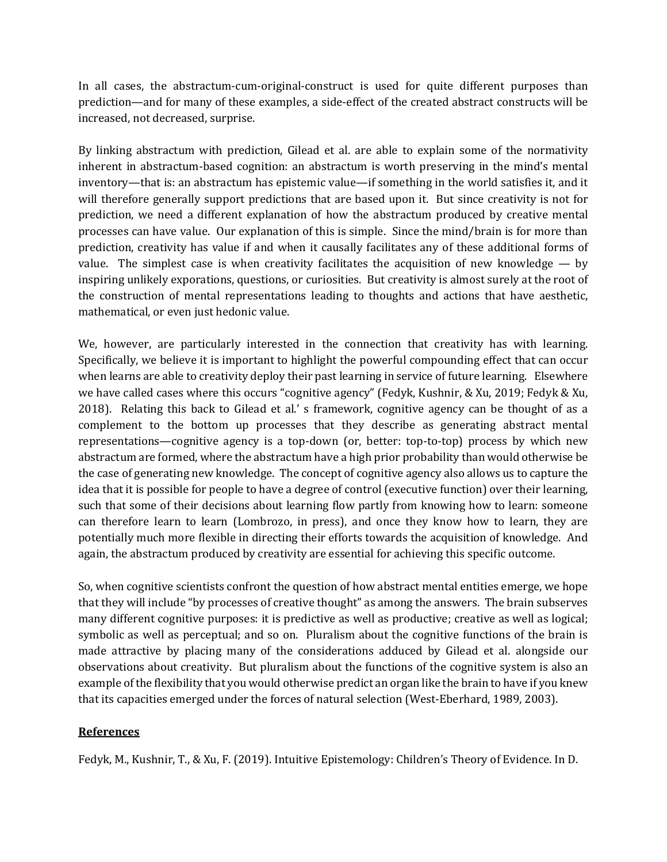In all cases, the abstractum-cum-original-construct is used for quite different purposes than prediction—and for many of these examples, a side-effect of the created abstract constructs will be increased, not decreased, surprise.

By linking abstractum with prediction, Gilead et al. are able to explain some of the normativity inherent in abstractum-based cognition: an abstractum is worth preserving in the mind's mental inventory—that is: an abstractum has epistemic value—if something in the world satisfies it, and it will therefore generally support predictions that are based upon it. But since creativity is not for prediction, we need a different explanation of how the abstractum produced by creative mental processes can have value. Our explanation of this is simple. Since the mind/brain is for more than prediction, creativity has value if and when it causally facilitates any of these additional forms of value. The simplest case is when creativity facilitates the acquisition of new knowledge  $-$  by inspiring unlikely exporations, questions, or curiosities. But creativity is almost surely at the root of the construction of mental representations leading to thoughts and actions that have aesthetic, mathematical, or even just hedonic value.

We, however, are particularly interested in the connection that creativity has with learning. Specifically, we believe it is important to highlight the powerful compounding effect that can occur when learns are able to creativity deploy their past learning in service of future learning. Elsewhere we have called cases where this occurs "cognitive agency" (Fedyk, Kushnir, & Xu, 2019; Fedyk & Xu, 2018). Relating this back to Gilead et al.' s framework, cognitive agency can be thought of as a complement to the bottom up processes that they describe as generating abstract mental representations—cognitive agency is a top-down (or, better: top-to-top) process by which new abstractum are formed, where the abstractum have a high prior probability than would otherwise be the case of generating new knowledge. The concept of cognitive agency also allows us to capture the idea that it is possible for people to have a degree of control (executive function) over their learning, such that some of their decisions about learning flow partly from knowing how to learn: someone can therefore learn to learn (Lombrozo, in press), and once they know how to learn, they are potentially much more flexible in directing their efforts towards the acquisition of knowledge. And again, the abstractum produced by creativity are essential for achieving this specific outcome.

So, when cognitive scientists confront the question of how abstract mental entities emerge, we hope that they will include "by processes of creative thought" as among the answers. The brain subserves many different cognitive purposes: it is predictive as well as productive; creative as well as logical; symbolic as well as perceptual; and so on. Pluralism about the cognitive functions of the brain is made attractive by placing many of the considerations adduced by Gilead et al. alongside our observations about creativity. But pluralism about the functions of the cognitive system is also an example of the flexibility that you would otherwise predict an organ like the brain to have if you knew that its capacities emerged under the forces of natural selection (West-Eberhard, 1989, 2003).

## **References**

Fedyk, M., Kushnir, T., & Xu, F. (2019). Intuitive Epistemology: Children's Theory of Evidence. In D.